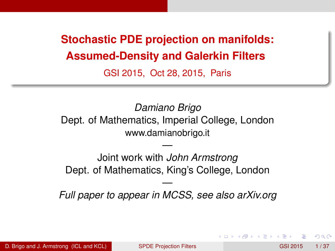<span id="page-0-0"></span>**Stochastic PDE projection on manifolds: Assumed-Density and Galerkin Filters**

GSI 2015, Oct 28, 2015, Paris

*Damiano Brigo* Dept. of Mathematics, Imperial College, London www.damianobrigo.it

Joint work with *John Armstrong* Dept. of Mathematics, King's College, London

—

— *Full paper to appear in MCSS, see also arXiv.org*

∽≏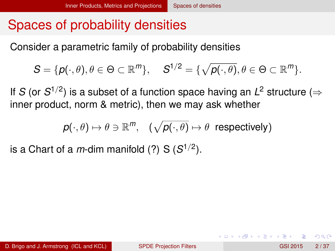## <span id="page-1-0"></span>Spaces of probability densities

Consider a parametric family of probability densities

$$
S = \{p(\cdot,\theta), \theta \in \Theta \subset \mathbb{R}^m\}, \quad S^{1/2} = \{\sqrt{p(\cdot,\theta)}, \theta \in \Theta \subset \mathbb{R}^m\}.
$$

If *S* (or  $S^{1/2}$ ) is a subset of a function space having an  $L^2$  structure ( $\Rightarrow$ inner product, norm & metric), then we may ask whether

$$
\textit{p}(\cdot,\theta)\mapsto \theta\ni \mathbb{R}^{m},\quad (\sqrt{\textit{p}(\cdot,\theta)}\mapsto \theta\;\;\textrm{respectively})
$$

is a Chart of a *m*-dim manifold (?) S  $(S^{1/2})$ .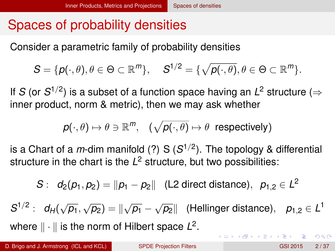# <span id="page-2-0"></span>Spaces of probability densities

Consider a parametric family of probability densities

$$
S = \{p(\cdot,\theta), \theta \in \Theta \subset \mathbb{R}^m\}, \quad S^{1/2} = \{\sqrt{p(\cdot,\theta)}, \theta \in \Theta \subset \mathbb{R}^m\}.
$$

If *S* (or  $S^{1/2}$ ) is a subset of a function space having an  $L^2$  structure ( $\Rightarrow$ inner product, norm & metric), then we may ask whether

$$
p(\cdot,\theta)\mapsto \theta\ni \mathbb{R}^m, \quad (\sqrt{p(\cdot,\theta)}\mapsto \theta \text{ respectively})
$$

is a Chart of a *m*-dim manifold (?) S (*S* 1/2 ). The topology & differential structure in the chart is the *L* <sup>2</sup> structure, but two possibilities:

$$
S: d_2(p_1, p_2) = ||p_1 - p_2||
$$
 (L2 direct distance),  $p_{1,2} \in L^2$ 

 $S^{1/2}: d_H(\sqrt{p_1}, \sqrt{p_2}) = ||\sqrt{p_1} - \sqrt{p_2}||$  (Hellinger distance),  $p_{1,2} \in L^1$ where  $\|\cdot\|$  is the norm of Hilbert space  $L^2.$ **KON KON KENYEN E YOOR**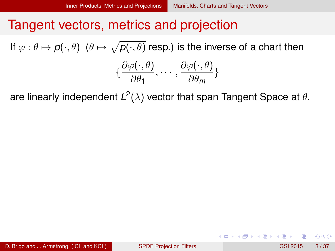#### <span id="page-3-0"></span>Tangent vectors, metrics and projection

If  $\varphi:\theta\mapsto \bm\rho(\cdot,\theta)$   $\ (\theta\mapsto \sqrt{\bm\rho(\cdot,\theta)}$  resp.) is the inverse of a chart then

$$
\{\frac{\partial \varphi(\cdot,\theta)}{\partial \theta_1},\cdots,\frac{\partial \varphi(\cdot,\theta)}{\partial \theta_m}\}
$$

are linearly independent  $L^2(\lambda)$  vector that span Tangent Space at  $\theta.$ 

 $QQQ$ 

 $(0,1)$   $(0,1)$   $(0,1)$   $(1,1)$   $(1,1)$   $(1,1)$   $(1,1)$   $(1,1)$   $(1,1)$   $(1,1)$   $(1,1)$   $(1,1)$   $(1,1)$   $(1,1)$   $(1,1)$   $(1,1)$   $(1,1)$   $(1,1)$   $(1,1)$   $(1,1)$   $(1,1)$   $(1,1)$   $(1,1)$   $(1,1)$   $(1,1)$   $(1,1)$   $(1,1)$   $(1,1$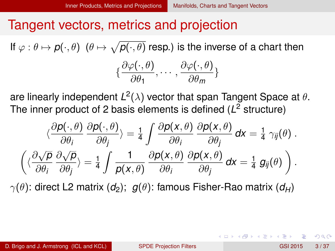#### <span id="page-4-0"></span>Tangent vectors, metrics and projection

If  $\varphi:\theta\mapsto \bm\rho(\cdot,\theta)$   $\ (\theta\mapsto \sqrt{\bm\rho(\cdot,\theta)}$  resp.) is the inverse of a chart then

$$
\{\frac{\partial \varphi(\cdot,\theta)}{\partial \theta_1},\cdots,\frac{\partial \varphi(\cdot,\theta)}{\partial \theta_m}\}
$$

are linearly independent  $L^2(\lambda)$  vector that span Tangent Space at  $\theta.$ The inner product of 2 basis elements is defined (*L* <sup>2</sup> structure)

$$
\langle \frac{\partial p(\cdot,\theta)}{\partial \theta_i} \frac{\partial p(\cdot,\theta)}{\partial \theta_j} \rangle = \frac{1}{4} \int \frac{\partial p(x,\theta)}{\partial \theta_i} \frac{\partial p(x,\theta)}{\partial \theta_j} dx = \frac{1}{4} \gamma_{ij}(\theta) .
$$

$$
\langle \langle \frac{\partial \sqrt{p}}{\partial \theta_i} \frac{\partial \sqrt{p}}{\partial \theta_j} \rangle = \frac{1}{4} \int \frac{1}{p(x,\theta)} \frac{\partial p(x,\theta)}{\partial \theta_i} \frac{\partial p(x,\theta)}{\partial \theta_j} dx = \frac{1}{4} g_{ij}(\theta) \rangle .
$$

 $\gamma(\theta)$ : direct L2 matrix ( $d_2$ );  $g(\theta)$ : famous Fisher-Rao matrix ( $d_H$ )

D. Brigo and J. Armstrong (ICL and KCL) [SPDE Projection Filters](#page-0-0) GSI 2015 3/37

 $\Omega$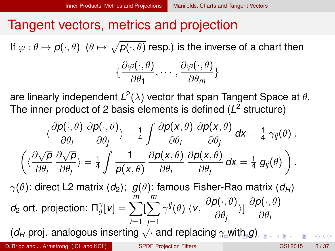#### <span id="page-5-0"></span>Tangent vectors, metrics and projection

If  $\varphi:\theta\mapsto \bm\rho(\cdot,\theta)$   $\ (\theta\mapsto \sqrt{\bm\rho(\cdot,\theta)}$  resp.) is the inverse of a chart then

$$
\{\frac{\partial \varphi(\cdot,\theta)}{\partial \theta_1},\cdots,\frac{\partial \varphi(\cdot,\theta)}{\partial \theta_m}\}
$$

are linearly independent  $L^2(\lambda)$  vector that span Tangent Space at  $\theta.$ The inner product of 2 basis elements is defined (*L* <sup>2</sup> structure)

$$
\langle \frac{\partial p(\cdot,\theta)}{\partial \theta_i} \frac{\partial p(\cdot,\theta)}{\partial \theta_j} \rangle = \frac{1}{4} \int \frac{\partial p(x,\theta)}{\partial \theta_i} \frac{\partial p(x,\theta)}{\partial \theta_j} dx = \frac{1}{4} \gamma_{ij}(\theta) .
$$

$$
\left( \langle \frac{\partial \sqrt{p}}{\partial \theta_i} \frac{\partial \sqrt{p}}{\partial \theta_j} \rangle = \frac{1}{4} \int \frac{1}{p(x,\theta)} \frac{\partial p(x,\theta)}{\partial \theta_i} \frac{\partial p(x,\theta)}{\partial \theta_j} dx = \frac{1}{4} g_{ij}(\theta) \right).
$$

 $\gamma(\theta)$ : direct L2 matrix ( $d_2$ );  $g(\theta)$ : famous Fisher-Rao matrix ( $d_H$ )  $d_2$  ort. projection: Π $<sup>γ</sup><sub>θ</sub>$ </sup>  $\frac{\gamma}{\theta}[{\pmb{\nu}}]=\sum^m$ *i*=1  $\sum_{i=1}^{m}$ *j*=1  $\gamma^{ij}(\theta)$   $\langle v, \frac{\partial \rho(\cdot, \theta)}{\partial \theta}\rangle$  $\frac{\partial \left(\cdot, \theta\right)}{\partial \theta_j} \rangle] \, \frac{\partial \boldsymbol{\rho}(\cdot, \theta)}{\partial \theta_i}$ ∂θ*<sup>i</sup>*

 $(d_H$  proj. analo[g](#page-6-0)ous inserting  $\sqrt{\cdot}$  and replacing  $\gamma$  [w](#page-6-0)[it](#page-2-0)[h](#page-3-0)  $g$ [\)](#page-2-0)

D. Brigo and J. Armstrong (ICL and KCL) [SPDE Projection Filters](#page-0-0) GSI 2015 3/37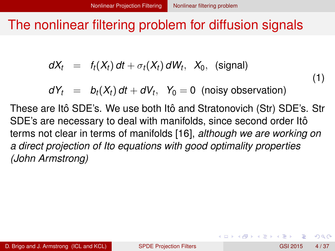#### <span id="page-6-0"></span>The nonlinear filtering problem for diffusion signals

$$
dX_t = f_t(X_t) dt + \sigma_t(X_t) dW_t, X_0, (signal)
$$

$$
dY_t = b_t(X_t) dt + dV_t, Y_0 = 0 \text{ (noisy observation)}
$$

These are Itô SDE's. We use both Itô and Stratonovich (Str) SDE's. Str SDE's are necessary to deal with manifolds, since second order Itô terms not clear in terms of manifolds [\[16\]](#page-68-0), *although we are working on a direct projection of Ito equations with good optimality properties (John Armstrong)*

 $\Omega$ 

4 ロ ト 4 何 ト 4 ヨ ト

(1)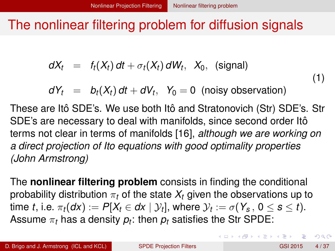### <span id="page-7-0"></span>The nonlinear filtering problem for diffusion signals

$$
dX_t = f_t(X_t) dt + \sigma_t(X_t) dW_t, X_0, (signal)
$$

$$
dY_t = b_t(X_t) dt + dV_t, Y_0 = 0 \text{ (noisy observation)}
$$

These are Itô SDE's. We use both Itô and Stratonovich (Str) SDE's. Str SDE's are necessary to deal with manifolds, since second order Itô terms not clear in terms of manifolds [\[16\]](#page-68-0), *although we are working on a direct projection of Ito equations with good optimality properties (John Armstrong)*

The **nonlinear filtering problem** consists in finding the conditional probability distribution  $\pi_t$  of the state  $X_t$  given the observations up to  $\textrm{time}\,\,t, \,\textrm{i.e.}\,\,\pi_t(d\textsf{x}) := P[X_t \in d\textsf{x} \mid \mathcal{Y}_t], \,\textrm{where}\,\, \mathcal{Y}_t := \sigma(\textsf{Y}_\mathcal{S},\, 0 \leq \mathcal{S} \leq t).$ Assume  $\pi_t$  has a density  $\rho_t$ : then  $\rho_t$  satisfies the Str SPDE:

 $\Omega$ 

(1)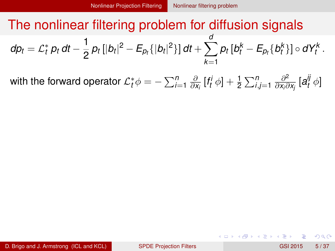<span id="page-8-0"></span>with the forward operator  $\mathcal{L}_t^* \phi = -\sum_{i=1}^n \frac{\partial}{\partial \theta_i}$  $\frac{\partial}{\partial x_i}$   $[f_t^i \phi] + \frac{1}{2} \sum_{i,j=1}^n \frac{\partial^2}{\partial x_i \partial x_j}$  $\frac{\partial^2}{\partial x_i \partial x_j}$  [ $a^{ij}_t$  $t'$ <sup> $\phi$ </sup>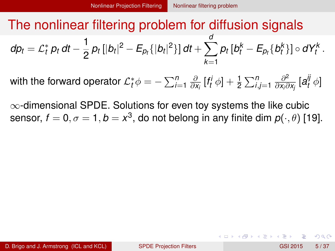<span id="page-9-0"></span>with the forward operator  $\mathcal{L}_t^* \phi = -\sum_{i=1}^n \frac{\partial}{\partial \theta_i}$  $\frac{\partial}{\partial x_i}$   $[f_t^i \phi] + \frac{1}{2} \sum_{i,j=1}^n \frac{\partial^2}{\partial x_i \partial x_j}$  $\frac{\partial^2}{\partial x_i \partial x_j}$  [ $a^{ij}_t$  $t'$ <sup> $\phi$ </sup>

∞-dimensional SPDE. Solutions for even toy systems the like cubic sensor,  $f=0,\sigma=1,b=x^3,$  do not belong in any finite dim  $\bm{\rho}(\cdot,\theta)$  [\[19\]](#page-69-0).

 $\Omega$ 

 $\mathcal{A}$  and  $\mathcal{A}$  in the  $\mathcal{A}$  in the  $\mathcal{A}$  in the  $\mathcal{A}$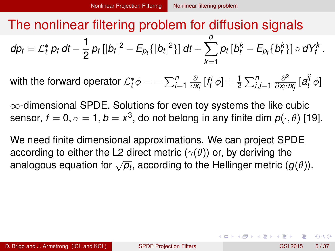<span id="page-10-0"></span>with the forward operator  $\mathcal{L}_t^* \phi = -\sum_{i=1}^n \frac{\partial}{\partial \theta_i}$  $\frac{\partial}{\partial x_i}$   $[f_t^i \phi] + \frac{1}{2} \sum_{i,j=1}^n \frac{\partial^2}{\partial x_i \partial x_j}$  $\frac{\partial^2}{\partial x_i \partial x_j}$  [ $a^{ij}_t$  $t'$ <sup> $\phi$ </sup>

∞-dimensional SPDE. Solutions for even toy systems the like cubic sensor,  $f=0,\sigma=1,b=x^3,$  do not belong in any finite dim  $\bm{\rho}(\cdot,\theta)$  [\[19\]](#page-69-0).

We need finite dimensional approximations. We can project SPDE according to either the L2 direct metric  $(\gamma(\theta))$  or, by deriving the analogous equation for  $\sqrt{p_t}$ , according to the Hellinger metric  $(g(\theta))$ .

 $\Omega$ 

K ロ ト K 御 ト K 差 ト K 差 ト … 差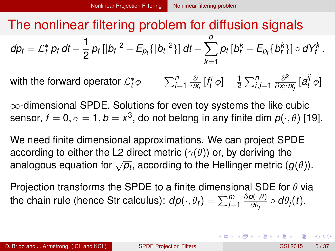<span id="page-11-0"></span>with the forward operator  $\mathcal{L}_t^* \phi = -\sum_{i=1}^n \frac{\partial}{\partial \theta_i}$  $\frac{\partial}{\partial x_i}$   $[f_t^i \phi] + \frac{1}{2} \sum_{i,j=1}^n \frac{\partial^2}{\partial x_i \partial x_j}$  $\frac{\partial^2}{\partial x_i \partial x_j}$  [ $a^{ij}_t$  $t'$ <sup> $\phi$ </sup>

∞-dimensional SPDE. Solutions for even toy systems the like cubic sensor,  $f=0,\sigma=1,b=x^3,$  do not belong in any finite dim  $\bm{\rho}(\cdot,\theta)$  [\[19\]](#page-69-0).

We need finite dimensional approximations. We can project SPDE according to either the L2 direct metric  $(\gamma(\theta))$  or, by deriving the analogous equation for  $\sqrt{p_t}$ , according to the Hellinger metric  $(g(\theta))$ .

Projection transforms the SPDE to a finite dimensional SDE for  $\theta$  via the chain rule (hence Str calculus):  $d\rho(\cdot,\theta_t) = \sum_{j=1}^m$ ∂*p*(·,θ)  $\frac{\partial (\cdot, \theta)}{\partial \theta_j} \circ d\theta_j(t)$ .

 $\Omega$ 

K ロ ▶ K 御 ▶ K 君 ▶ K 君 ▶ ○ 君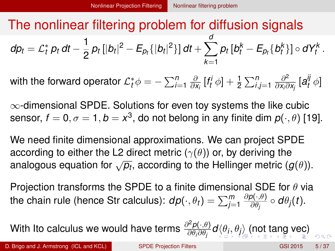<span id="page-12-0"></span>with the forward operator  $\mathcal{L}_t^* \phi = -\sum_{i=1}^n \frac{\partial}{\partial \theta_i}$  $\frac{\partial}{\partial x_i}$   $[f_t^i \phi] + \frac{1}{2} \sum_{i,j=1}^n \frac{\partial^2}{\partial x_i \partial x_j}$  $\frac{\partial^2}{\partial x_i \partial x_j}$  [ $a^{ij}_t$  $t'$ <sup> $\phi$ </sup>

 $\infty$ -dimensional SPDE. Solutions for even toy systems the like cubic sensor,  $f=0,\sigma=1,b=x^3,$  do not belong in any finite dim  $\bm{\rho}(\cdot,\theta)$  [\[19\]](#page-69-0).

We need finite dimensional approximations. We can project SPDE according to either the L2 direct metric  $(\gamma(\theta))$  or, by deriving the analogous equation for  $\sqrt{p_t}$ , according to the Hellinger metric  $(g(\theta))$ .

Projection transforms the SPDE to a finite dimensional SDE for  $\theta$  via the chain rule (hence Str calculus):  $d\rho(\cdot,\theta_t) = \sum_{j=1}^m$ ∂*p*(·,θ)  $\frac{\partial (\cdot, \theta)}{\partial \theta_j} \circ d\theta_j(t)$ .

With Ito calculus we would have terms <sup>∂</sup> <sup>2</sup>*p*(·,θ)  $\frac{\partial^2 P(\cdot, \theta)}{\partial \theta_i \partial \theta_j} d \langle \theta_j, \theta_j \rangle$  $\frac{\partial^2 P(\cdot, \theta)}{\partial \theta_i \partial \theta_j} d \langle \theta_j, \theta_j \rangle$  $\frac{\partial^2 P(\cdot, \theta)}{\partial \theta_i \partial \theta_j} d \langle \theta_j, \theta_j \rangle$  $\frac{\partial^2 P(\cdot, \theta)}{\partial \theta_i \partial \theta_j} d \langle \theta_j, \theta_j \rangle$  $\frac{\partial^2 P(\cdot, \theta)}{\partial \theta_i \partial \theta_j} d \langle \theta_j, \theta_j \rangle$  $\frac{\partial^2 P(\cdot, \theta)}{\partial \theta_i \partial \theta_j} d \langle \theta_j, \theta_j \rangle$  $\frac{\partial^2 P(\cdot, \theta)}{\partial \theta_i \partial \theta_j} d \langle \theta_j, \theta_j \rangle$  $\frac{\partial^2 P(\cdot, \theta)}{\partial \theta_i \partial \theta_j} d \langle \theta_j, \theta_j \rangle$  $\frac{\partial^2 P(\cdot, \theta)}{\partial \theta_i \partial \theta_j} d \langle \theta_j, \theta_j \rangle$  $\frac{\partial^2 P(\cdot, \theta)}{\partial \theta_i \partial \theta_j} d \langle \theta_j, \theta_j \rangle$  $\frac{\partial^2 P(\cdot, \theta)}{\partial \theta_i \partial \theta_j} d \langle \theta_j, \theta_j \rangle$  [\(n](#page-13-0)[ot](#page-6-0) [ta](#page-13-0)ng [v](#page-15-0)e[c\)](#page-71-0)

 $290$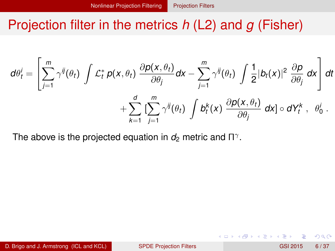### <span id="page-13-0"></span>Projection filter in the metrics *h* (L2) and *g* (Fisher)

$$
d\theta_t^i = \left[ \sum_{j=1}^m \gamma^{ij}(\theta_t) \int \mathcal{L}_t^* p(x, \theta_t) \frac{\partial p(x, \theta_t)}{\partial \theta_j} dx - \sum_{j=1}^m \gamma^{ij}(\theta_t) \int \frac{1}{2} |b_t(x)|^2 \frac{\partial p}{\partial \theta_j} dx \right] dt
$$

$$
+ \sum_{k=1}^d \left[ \sum_{j=1}^m \gamma^{ij}(\theta_t) \int b_t^k(x) \frac{\partial p(x, \theta_t)}{\partial \theta_j} dx \right] \circ dY_t^k, \quad \theta_0^i.
$$

The above is the projected equation in  $d_2$  metric and  $\Pi^\gamma.$ 

 $\Omega$ 

イロト イ押ト イヨト イヨ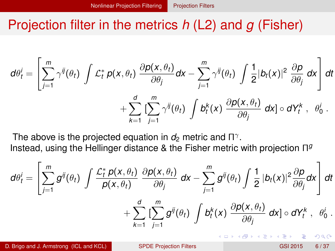#### <span id="page-14-0"></span>Projection filter in the metrics *h* (L2) and *g* (Fisher)

$$
d\theta_t^i = \left[ \sum_{j=1}^m \gamma^{ij}(\theta_t) \int \mathcal{L}_t^* \, p(x, \theta_t) \, \frac{\partial p(x, \theta_t)}{\partial \theta_j} dx - \sum_{j=1}^m \gamma^{ij}(\theta_t) \int \frac{1}{2} |b_t(x)|^2 \, \frac{\partial p}{\partial \theta_j} dx \right] dt + \sum_{k=1}^d \left[ \sum_{j=1}^m \gamma^{ij}(\theta_t) \int b_t^k(x) \, \frac{\partial p(x, \theta_t)}{\partial \theta_j} dx \right] \circ dY_t^k, \quad \theta_0^i.
$$

The above is the projected equation in  $d_2$  metric and  $\Pi^\gamma.$ Instead, using the Hellinger distance & the Fisher metric with projection Π *g*

$$
d\theta_t^i = \left[\sum_{j=1}^m g^{ij}(\theta_t) \int \frac{\mathcal{L}_t^* p(x, \theta_t)}{p(x, \theta_t)} \frac{\partial p(x, \theta_t)}{\partial \theta_j} dx - \sum_{j=1}^m g^{ij}(\theta_t) \int \frac{1}{2} |b_t(x)|^2 \frac{\partial p}{\partial \theta_j} dx \right] dt + \sum_{k=1}^d \left[\sum_{j=1}^m g^{ij}(\theta_t) \int b_t^k(x) \frac{\partial p(x, \theta_t)}{\partial \theta_j} dx\right] \circ dY_t^k, \quad \theta_0^i.
$$

D. Brigo and J. Armstrong (ICL and KCL) [SPDE Projection Filters](#page-0-0) GSI 2015 6/37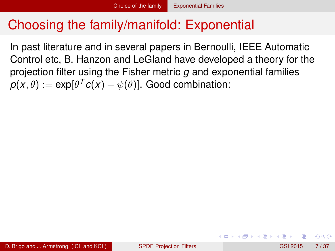<span id="page-15-0"></span>In past literature and in several papers in Bernoulli, IEEE Automatic Control etc, B. Hanzon and LeGland have developed a theory for the projection filter using the Fisher metric *g* and exponential families  $\boldsymbol{p}(\boldsymbol{\mathsf{x}}, \theta) := \exp[\theta^{\mathsf{T}} \boldsymbol{c}(\boldsymbol{\mathsf{x}}) - \psi(\theta)].$  Good combination:

 $\Omega$ 

イロト イ押 トイラト イラト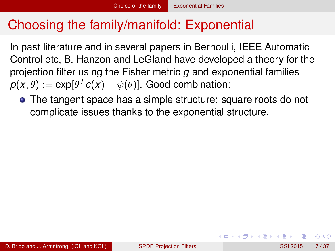<span id="page-16-0"></span>In past literature and in several papers in Bernoulli, IEEE Automatic Control etc, B. Hanzon and LeGland have developed a theory for the projection filter using the Fisher metric *g* and exponential families  $\boldsymbol{p}(\boldsymbol{\mathsf{x}}, \theta) := \exp[\theta^{\mathsf{T}} \boldsymbol{c}(\boldsymbol{\mathsf{x}}) - \psi(\theta)].$  Good combination:

The tangent space has a simple structure: square roots do not complicate issues thanks to the exponential structure.

 $\Omega$ 

イロト イ押 トイラト イラト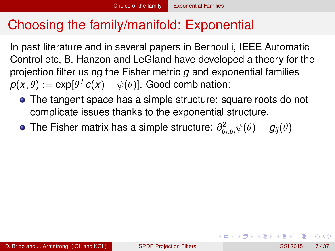<span id="page-17-0"></span>In past literature and in several papers in Bernoulli, IEEE Automatic Control etc, B. Hanzon and LeGland have developed a theory for the projection filter using the Fisher metric *g* and exponential families  $\boldsymbol{p}(\boldsymbol{\mathsf{x}}, \theta) := \exp[\theta^{\mathsf{T}} \boldsymbol{c}(\boldsymbol{\mathsf{x}}) - \psi(\theta)].$  Good combination:

- The tangent space has a simple structure: square roots do not complicate issues thanks to the exponential structure.
- The Fisher matrix has a simple structure:  $\partial^2_{\theta_i,\theta_j}\psi(\theta)=g_{ij}(\theta)$

 $\Omega$ 

K ロ ⊁ K 倒 ≯ K 君 ⊁ K 君 ⊁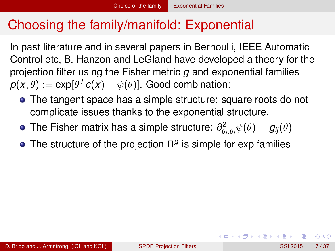<span id="page-18-0"></span>In past literature and in several papers in Bernoulli, IEEE Automatic Control etc, B. Hanzon and LeGland have developed a theory for the projection filter using the Fisher metric *g* and exponential families  $\boldsymbol{p}(\boldsymbol{\mathsf{x}}, \theta) := \exp[\theta^{\mathsf{T}} \boldsymbol{c}(\boldsymbol{\mathsf{x}}) - \psi(\theta)].$  Good combination:

- The tangent space has a simple structure: square roots do not complicate issues thanks to the exponential structure.
- The Fisher matrix has a simple structure:  $\partial^2_{\theta_i,\theta_j}\psi(\theta)=g_{ij}(\theta)$
- The structure of the projection Π<sup>g</sup> is simple for exp families

 $\Omega$ 

K ロ ⊁ K 倒 ≯ K 君 ⊁ K 君 ⊁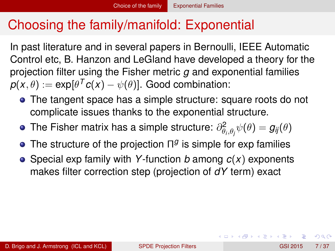<span id="page-19-0"></span>In past literature and in several papers in Bernoulli, IEEE Automatic Control etc, B. Hanzon and LeGland have developed a theory for the projection filter using the Fisher metric *g* and exponential families  $\boldsymbol{p}(\boldsymbol{\mathsf{x}}, \theta) := \exp[\theta^{\mathsf{T}} \boldsymbol{c}(\boldsymbol{\mathsf{x}}) - \psi(\theta)].$  Good combination:

- The tangent space has a simple structure: square roots do not complicate issues thanks to the exponential structure.
- The Fisher matrix has a simple structure:  $\partial^2_{\theta_i,\theta_j}\psi(\theta)=g_{ij}(\theta)$
- The structure of the projection Π<sup>g</sup> is simple for exp families
- Special exp family with *Y*-function *b* among *c*(*x*) exponents makes filter correction step (projection of *dY* term) exact

 $\Omega$ 

イロト イ押 トイラト イラト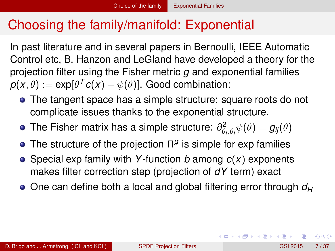<span id="page-20-0"></span>In past literature and in several papers in Bernoulli, IEEE Automatic Control etc, B. Hanzon and LeGland have developed a theory for the projection filter using the Fisher metric *g* and exponential families  $\boldsymbol{p}(\boldsymbol{\mathsf{x}}, \theta) := \exp[\theta^{\mathsf{T}} \boldsymbol{c}(\boldsymbol{\mathsf{x}}) - \psi(\theta)].$  Good combination:

- The tangent space has a simple structure: square roots do not complicate issues thanks to the exponential structure.
- The Fisher matrix has a simple structure:  $\partial^2_{\theta_i,\theta_j}\psi(\theta)=g_{ij}(\theta)$
- The structure of the projection Π<sup>g</sup> is simple for exp families
- Special exp family with *Y*-function *b* among *c*(*x*) exponents makes filter correction step (projection of *dY* term) exact
- One can define both a local and global filtering error through  $d_H$

 $\Omega$ 

 $(0,1)$   $(0,1)$   $(0,1)$   $(1,1)$   $(1,1)$   $(1,1)$   $(1,1)$   $(1,1)$   $(1,1)$   $(1,1)$   $(1,1)$   $(1,1)$   $(1,1)$   $(1,1)$   $(1,1)$   $(1,1)$   $(1,1)$   $(1,1)$   $(1,1)$   $(1,1)$   $(1,1)$   $(1,1)$   $(1,1)$   $(1,1)$   $(1,1)$   $(1,1)$   $(1,1)$   $(1,1$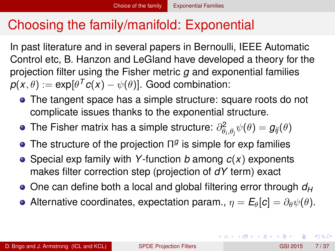<span id="page-21-0"></span>In past literature and in several papers in Bernoulli, IEEE Automatic Control etc, B. Hanzon and LeGland have developed a theory for the projection filter using the Fisher metric *g* and exponential families  $\boldsymbol{p}(\boldsymbol{\mathsf{x}}, \theta) := \exp[\theta^{\mathsf{T}} \boldsymbol{c}(\boldsymbol{\mathsf{x}}) - \psi(\theta)].$  Good combination:

- The tangent space has a simple structure: square roots do not complicate issues thanks to the exponential structure.
- The Fisher matrix has a simple structure:  $\partial^2_{\theta_i,\theta_j}\psi(\theta)=g_{ij}(\theta)$
- The structure of the projection Π<sup>g</sup> is simple for exp families
- Special exp family with *Y*-function *b* among *c*(*x*) exponents makes filter correction step (projection of *dY* term) exact
- One can define both a local and global filtering error through  $d_H$
- Alternative coordinates, expectation param.,  $\eta = E_{\theta}[c] = \partial_{\theta} \psi(\theta)$ .

 $\Omega$ 

 $(0.123 \times 10^{-14} \text{ m}) \times 10^{-14} \text{ m} \times 10^{-14} \text{ m}$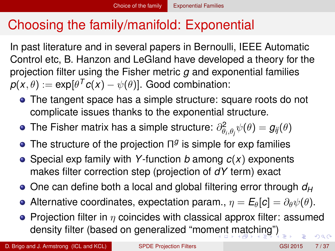<span id="page-22-0"></span>In past literature and in several papers in Bernoulli, IEEE Automatic Control etc, B. Hanzon and LeGland have developed a theory for the projection filter using the Fisher metric *g* and exponential families  $\boldsymbol{p}(\boldsymbol{\mathsf{x}}, \theta) := \exp[\theta^{\mathsf{T}} \boldsymbol{c}(\boldsymbol{\mathsf{x}}) - \psi(\theta)].$  Good combination:

- The tangent space has a simple structure: square roots do not complicate issues thanks to the exponential structure.
- The Fisher matrix has a simple structure:  $\partial^2_{\theta_i,\theta_j}\psi(\theta)=g_{ij}(\theta)$
- The structure of the projection Π<sup>g</sup> is simple for exp families
- Special exp family with *Y*-function *b* among *c*(*x*) exponents makes filter correction step (projection of *dY* term) exact
- One can define both a local and global filtering error through  $d_H$
- **•** Alternative coordinates, expectation param.,  $\eta = E_{\theta}[c] = \partial_{\theta} \psi(\theta)$ .
- Projection filter in  $\eta$  coincides with classical approx filter: assumed density filter (based on generalized "mom[en](#page-21-0)t [m](#page-23-0)[a](#page-15-0)[t](#page-22-0)[c](#page-23-0)[hi](#page-14-0)[n](#page-15-0)[g](#page-22-0)["](#page-23-0)[\)](#page-14-0)  $\Omega$

D. Brigo and J. Armstrong (ICL and KCL) [SPDE Projection Filters](#page-0-0) GSI 2015 7/37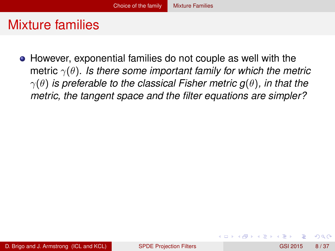<span id="page-23-0"></span>However, exponential families do not couple as well with the metric γ(θ). *Is there some important family for which the metric*  $\gamma(\theta)$  *is preferable to the classical Fisher metric g(* $\theta$ *), in that the metric, the tangent space and the filter equations are simpler?*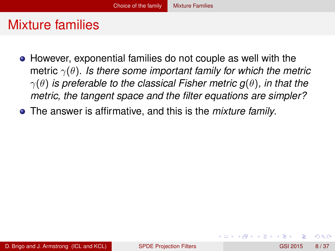- <span id="page-24-0"></span>However, exponential families do not couple as well with the metric γ(θ). *Is there some important family for which the metric*  $\gamma(\theta)$  *is preferable to the classical Fisher metric g(* $\theta$ *), in that the metric, the tangent space and the filter equations are simpler?*
- The answer is affirmative, and this is the *mixture family*.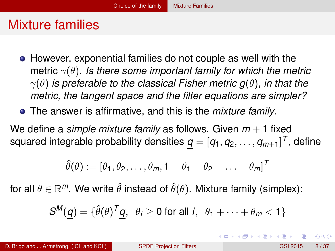- <span id="page-25-0"></span>However, exponential families do not couple as well with the metric γ(θ). *Is there some important family for which the metric* γ(θ) *is preferable to the classical Fisher metric g*(θ)*, in that the metric, the tangent space and the filter equations are simpler?*
- The answer is affirmative, and this is the *mixture family*.

We define a *simple mixture family* as follows. Given *m* + 1 fixed squared integrable probability densities  $\bm{q} = [q_1, q_2, \ldots, q_{m+1}]^T$ , define

$$
\hat{\theta}(\theta) := [\theta_1, \theta_2, \dots, \theta_m, 1 - \theta_1 - \theta_2 - \dots - \theta_m]^T
$$

for all  $\theta \in \mathbb{R}^m.$  We write  $\hat{\theta}$  instead of  $\hat{\theta}(\theta).$  Mixture family (simplex):

$$
S^M(\underline{q}) = \{ \hat{\theta}(\theta)^T \underline{q}, \ \theta_i \ge 0 \text{ for all } i, \ \theta_1 + \cdots + \theta_m < 1 \}
$$

 $\Omega$ 

K ロ ▶ K 個 ▶ K 重 ▶ K 重 ▶ …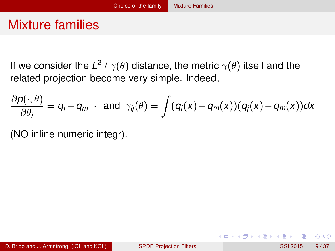<span id="page-26-0"></span>If we consider the L<sup>2</sup> /  $\gamma(\theta)$  distance, the metric  $\gamma(\theta)$  itself and the related projection become very simple. Indeed,

$$
\frac{\partial \rho(\cdot,\theta)}{\partial \theta_i} = q_i - q_{m+1} \text{ and } \gamma_{ij}(\theta) = \int (q_i(x) - q_m(x))(q_j(x) - q_m(x))dx
$$

(NO inline numeric integr).

 $\Omega$ 

重す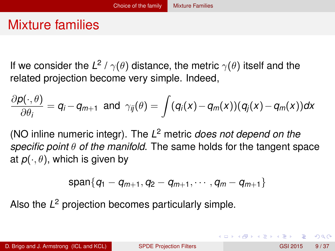<span id="page-27-0"></span>If we consider the L<sup>2</sup> /  $\gamma(\theta)$  distance, the metric  $\gamma(\theta)$  itself and the related projection become very simple. Indeed,

$$
\frac{\partial \rho(\cdot,\theta)}{\partial \theta_i} = q_i - q_{m+1} \text{ and } \gamma_{ij}(\theta) = \int (q_i(x) - q_m(x))(q_j(x) - q_m(x))dx
$$

(NO inline numeric integr). The *L* <sup>2</sup> metric *does not depend on the specific point* θ *of the manifold*. The same holds for the tangent space at  $p(\cdot, \theta)$ , which is given by

$$
\text{span}\{q_1-q_{m+1},q_2-q_{m+1},\cdots,q_m-q_{m+1}\}
$$

Also the *L* <sup>2</sup> projection becomes particularly simple.

 $\Omega$ 

イロト イ押ト イヨト イヨト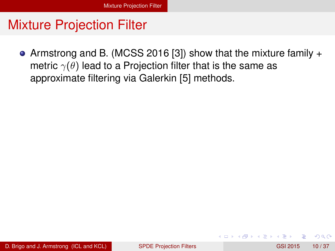<span id="page-28-0"></span>Armstrong and B. (MCSS 2016 [\[3\]](#page-65-0)) show that the mixture family + metric  $\gamma(\theta)$  lead to a Projection filter that is the same as approximate filtering via Galerkin [\[5\]](#page-66-0) methods.

 $\Omega$ 

**REPAREM** 

∢ □ ▶ ィ <sup>□</sup> ▶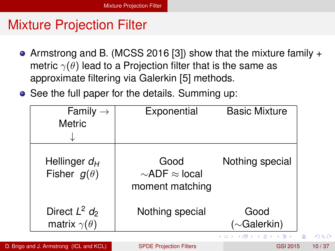- <span id="page-29-0"></span>Armstrong and B. (MCSS 2016 [\[3\]](#page-65-0)) show that the mixture family + metric  $\gamma(\theta)$  lead to a Projection filter that is the same as approximate filtering via Galerkin [\[5\]](#page-66-0) methods.
- See the full paper for the details. Summing up:

| Family $\rightarrow$<br><b>Metric</b>         | Exponential                                           | <b>Basic Mixture</b>         |
|-----------------------------------------------|-------------------------------------------------------|------------------------------|
| Hellinger $d_H$<br>Fisher $g(\theta)$         | Good<br>$\sim$ ADF $\approx$ local<br>moment matching | Nothing special              |
| Direct $L^2$ $d_2$<br>matrix $\gamma(\theta)$ | Nothing special                                       | Good<br>$(\sim$ Galerkin)    |
|                                               |                                                       | <b>≮ロト ⊀ 何 ト ⊀ ヨ ト ⊀ ヨ ト</b> |

D. Brigo and J. Armstrong (ICL and KCL) [SPDE Projection Filters](#page-0-0) GSI 2015 10/37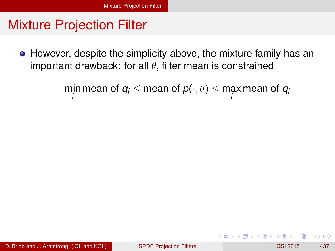<span id="page-30-0"></span>However, despite the simplicity above, the mixture family has an important drawback: for all  $\theta$ , filter mean is constrained

 $\min\limits_{i}$  mean of  $q_i \leq$  mean of  $p(\cdot,\theta) \leq \max\limits_{i}$  mean of  $q_i$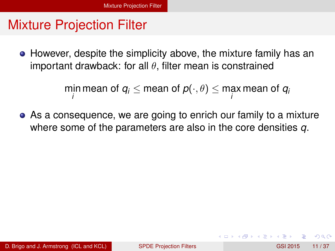<span id="page-31-0"></span>However, despite the simplicity above, the mixture family has an important drawback: for all  $\theta$ , filter mean is constrained

 $\min\limits_{i}$  mean of  $q_i \leq$  mean of  $p(\cdot,\theta) \leq \max\limits_{i}$  mean of  $q_i$ 

As a consequence, we are going to enrich our family to a mixture where some of the parameters are also in the core densities *q*.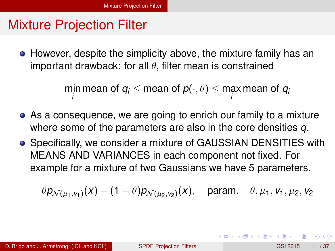<span id="page-32-0"></span>However, despite the simplicity above, the mixture family has an important drawback: for all  $\theta$ , filter mean is constrained

 $\min\limits_{i}$  mean of  $q_i \leq$  mean of  $p(\cdot,\theta) \leq \max\limits_{i}$  mean of  $q_i$ 

- As a consequence, we are going to enrich our family to a mixture where some of the parameters are also in the core densities *q*.
- **Specifically, we consider a mixture of GAUSSIAN DENSITIES with** MEANS AND VARIANCES in each component not fixed. For example for a mixture of two Gaussians we have 5 parameters.

$$
\theta p_{\mathcal{N}(\mu_1, v_1)}(x) + (1 - \theta) p_{\mathcal{N}(\mu_2, v_2)}(x), \text{ param. } \theta, \mu_1, v_1, \mu_2, v_2
$$

 $\Omega$ 

イロト イ押 トイラト イラト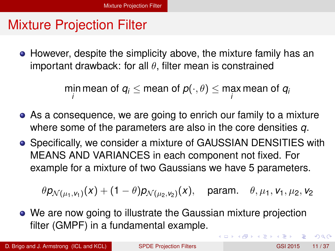<span id="page-33-0"></span>However, despite the simplicity above, the mixture family has an important drawback: for all  $\theta$ , filter mean is constrained

> min mean of  $q_i \leq$  mean of  $p(\cdot,\theta) \leq$  max mean of  $q_i$ *i i*

- As a consequence, we are going to enrich our family to a mixture where some of the parameters are also in the core densities *q*.
- **Specifically, we consider a mixture of GAUSSIAN DENSITIES with** MEANS AND VARIANCES in each component not fixed. For example for a mixture of two Gaussians we have 5 parameters.

 $\theta$ *p<sub>N(µ1,Y</sup>1)*(*x*) + (1  $-\theta$ )*p<sub>N(µ2,Y2)</sub>*</sub> param.  $\theta$ ,  $\mu_1$ ,  $\nu_1$ ,  $\mu_2$ ,  $\nu_2$ 

We are now going to illustrate the Gaussian mixture projection filter (GMPF) in a fundamental example.

D. Brigo and J. Armstrong (ICL and KCL) [SPDE Projection Filters](#page-0-0) GSI 2015 11/37

 $\Omega$ 

イロト イ押 トイラト イラト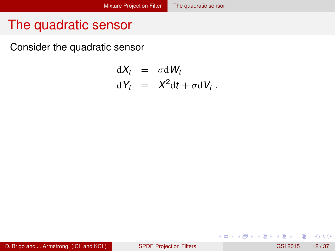#### <span id="page-34-0"></span>The quadratic sensor

Consider the quadratic sensor

$$
dX_t = \sigma dW_t
$$
  

$$
dY_t = X^2 dt + \sigma dV_t.
$$

 $\rightarrow$ 

 $299$ 

イロトメ 倒 トメ 差 トメ 差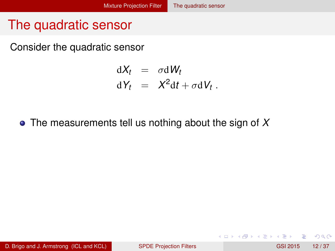#### <span id="page-35-0"></span>The quadratic sensor

Consider the quadratic sensor

$$
dX_t = \sigma dW_t
$$
  

$$
dY_t = X^2 dt + \sigma dV_t.
$$

The measurements tell us nothing about the sign of *X*

D. Brigo and J. Armstrong (ICL and KCL) [SPDE Projection Filters](#page-0-0) GSI 2015 12/37

 $QQ$ 

化重新分离

4 ロ ト ィ *同* ト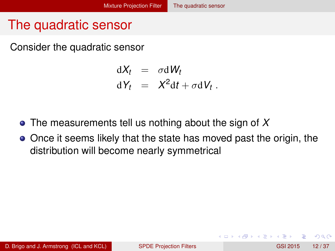# <span id="page-36-0"></span>The quadratic sensor

Consider the quadratic sensor

$$
dX_t = \sigma dW_t
$$
  

$$
dY_t = X^2 dt + \sigma dV_t.
$$

- The measurements tell us nothing about the sign of *X*
- Once it seems likely that the state has moved past the origin, the distribution will become nearly symmetrical

 $\Omega$ 

化重新分量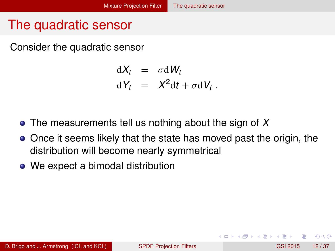# <span id="page-37-0"></span>The quadratic sensor

Consider the quadratic sensor

 $dX_t = \sigma dW_t$  $dY_t = X^2 dt + \sigma dV_t$ .

- The measurements tell us nothing about the sign of *X*
- Once it seems likely that the state has moved past the origin, the distribution will become nearly symmetrical
- We expect a bimodal distribution

 $\Omega$ 

**REPAREM**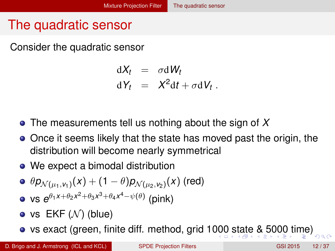# <span id="page-38-0"></span>The quadratic sensor

Consider the quadratic sensor

 $dX_t = \sigma dW_t$  $dY_t = X^2 dt + \sigma dV_t$ .

- The measurements tell us nothing about the sign of *X*
- Once it seems likely that the state has moved past the origin, the distribution will become nearly symmetrical
- We expect a bimodal distribution

• 
$$
\theta p_{\mathcal{N}(\mu_1, v_1)}(x) + (1 - \theta) p_{\mathcal{N}(\mu_2, v_2)}(x)
$$
 (red)  
• vs  $e^{\theta_1 x + \theta_2 x^2 + \theta_3 x^3 + \theta_4 x^4 - \psi(\theta)}$  (pink)

- vs  $EKF(N)$  (blue)
- vs exact (green, finite diff. method, grid 1[000](#page-37-0) [s](#page-39-0)[t](#page-33-0)[a](#page-34-0)[t](#page-38-0)[e](#page-39-0) [&](#page-33-0) [5](#page-53-0)[0](#page-54-0)[0](#page-28-0)[0](#page-56-0) [t](#page-57-0)[im](#page-0-0)[e\)](#page-71-0) റെ ഭ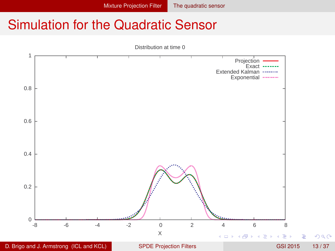<span id="page-39-0"></span>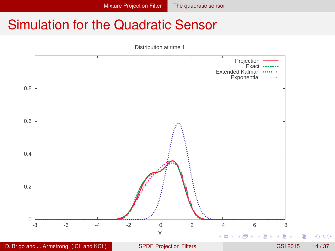<span id="page-40-0"></span>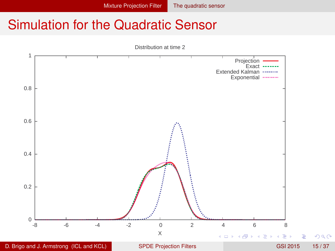<span id="page-41-0"></span>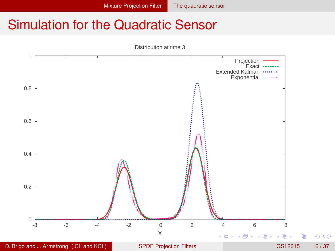<span id="page-42-0"></span>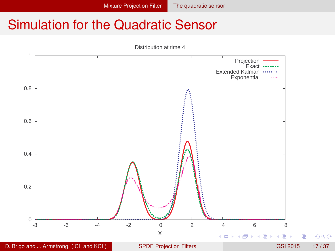<span id="page-43-0"></span>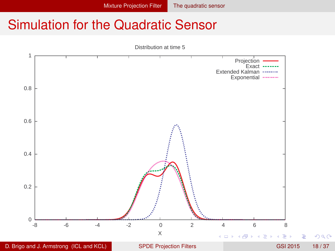<span id="page-44-0"></span>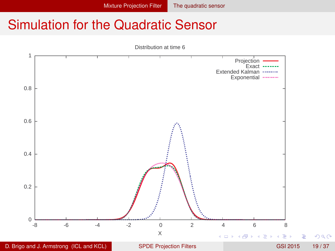<span id="page-45-0"></span>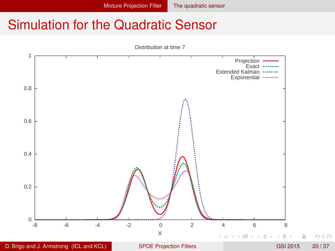<span id="page-46-0"></span>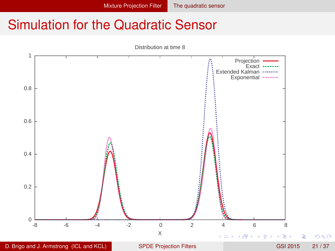<span id="page-47-0"></span>

D. Brigo and J. Armstrong (ICL and KCL) [SPDE Projection Filters](#page-0-0) GSI 2015 21/37

Þ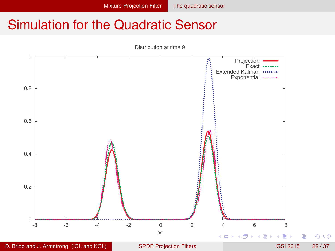<span id="page-48-0"></span>

D. Brigo and J. Armstrong (ICL and KCL) [SPDE Projection Filters](#page-0-0) GSI 2015 22 / 37

Þ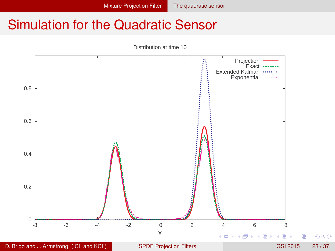<span id="page-49-0"></span>

D. Brigo and J. Armstrong (ICL and KCL) [SPDE Projection Filters](#page-0-0) GSI 2015 23/37

Þ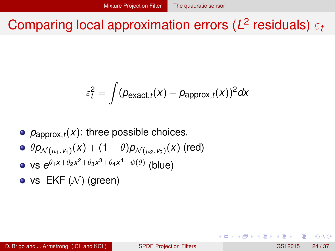# <span id="page-50-0"></span>Comparing local approximation errors (*L* 2 residuals) ε*<sup>t</sup>*

$$
\varepsilon_t^2 = \int (\rho_{\text{exact},t}(x) - \rho_{\text{approx},t}(x))^2 dx
$$

- $\rho_{\text{apor}_(t)}(x)$ : three possible choices.
- $\theta$ *p* $_{\mathcal{N}(\mu_1,\nu_1)}(x) + (1-\theta)$ *p* $_{\mathcal{N}(\mu_2,\nu_2)}(x)$  *(red)*
- $v$ s *e*<sup>θ</sup>1<sup>*x*+θ<sub>2</sub>*x*<sup>2</sup>+θ<sub>3</sub>*x*<sup>3</sup>+θ<sub>4</sub>*x*<sup>4</sup>−ψ(θ) (blue)</sup>
- vs  $EKF(N)$  (green)

в

 $\Omega$ 

化重氮化重氮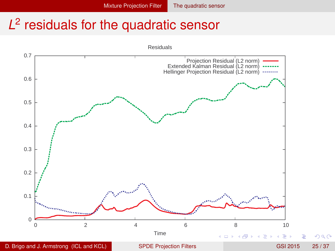# <span id="page-51-0"></span>*L* 2 residuals for the quadratic sensor

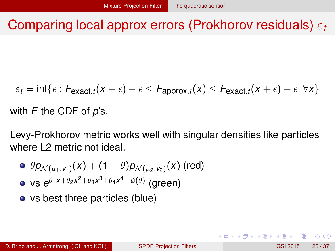### <span id="page-52-0"></span>Comparing local approx errors (Prokhorov residuals) ε*<sup>t</sup>*

 $\varepsilon_t = \inf\{\epsilon: \textit{F}_{\mathsf{exact},t}(x - \epsilon) - \epsilon \leq \textit{F}_{\mathsf{approx},t}(x) \leq \textit{F}_{\mathsf{exact},t}(x + \epsilon) + \epsilon \enspace \forall x\}$ 

with *F* the CDF of *p*'s.

Levy-Prokhorov metric works well with singular densities like particles where L2 metric not ideal.

- $\theta$ *p* $_{\mathcal{N}(\mu_1,\mathsf{v}_1)}$ *(x*) + (1  $-\theta$ )*p* $_{\mathcal{N}(\mu_2,\mathsf{v}_2)}$ *(x*) (red) vs *e* θ1*x*+θ2*x* <sup>2</sup>+θ3*x* <sup>3</sup>+θ4*x* <sup>4</sup>−ψ(θ) (green)
- vs best three particles (blue)

 $\Omega$ 

イロト イ押ト イヨト イヨト ニヨ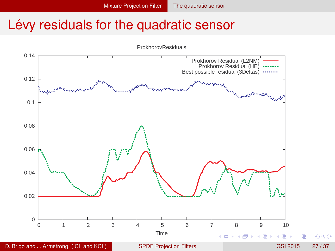### <span id="page-53-0"></span>Lévy residuals for the quadratic sensor

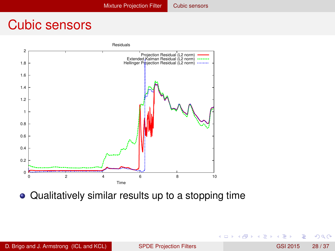### <span id="page-54-0"></span>Cubic sensors



Qualitatively similar results up to a stopping time

 $\rightarrow$ 

 $\Omega$ 

医单位 医单

4 ロ ト ィ *同* ト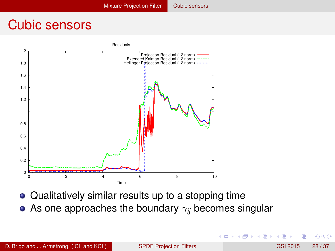### <span id="page-55-0"></span>Cubic sensors



- Qualitatively similar results up to a stopping time
- As one approaches the boundary γ*ij* becomes singular

 $\Omega$ 

 $\leftarrow$   $\equiv$   $\rightarrow$ 

×.

4 D.K. ×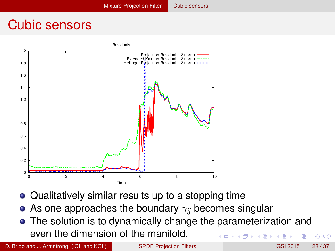### <span id="page-56-0"></span>Cubic sensors



- Qualitatively similar results up to a stopping time
- As one approaches the boundary  $\gamma_{ii}$  becomes singular
- The solution is to dynamically change the parameterization and even the dimension of the manifold.  $\Omega$  $\leftarrow$   $\leftarrow$   $\leftarrow$   $\leftarrow$   $\leftarrow$   $\leftarrow$

D. Brigo and J. Armstrong (ICL and KCL) [SPDE Projection Filters](#page-0-0) GSI 2015 28/37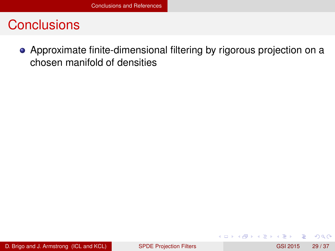<span id="page-57-0"></span>Approximate finite-dimensional filtering by rigorous projection on a chosen manifold of densities

4 0 8 1

 $\Omega$ 

不重 的第三人称形式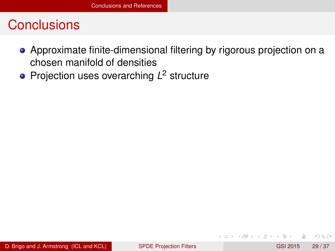- <span id="page-58-0"></span>Approximate finite-dimensional filtering by rigorous projection on a chosen manifold of densities
- Projection uses overarching *L* <sup>2</sup> structure

 $\Omega$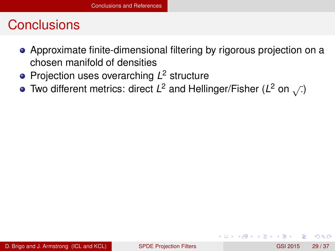- <span id="page-59-0"></span>Approximate finite-dimensional filtering by rigorous projection on a chosen manifold of densities
- Projection uses overarching *L* <sup>2</sup> structure
- Two different metrics: direct  $L^2$  and Hellinger/Fisher ( $L^2$  on  $\sqrt{2}$ )

 $\Omega$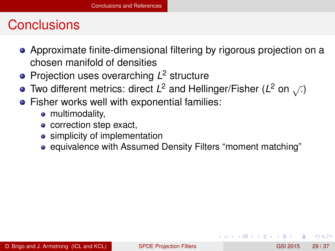- <span id="page-60-0"></span>Approximate finite-dimensional filtering by rigorous projection on a chosen manifold of densities
- Projection uses overarching *L* <sup>2</sup> structure
- Two different metrics: direct  $L^2$  and Hellinger/Fisher ( $L^2$  on  $\sqrt{2}$ )
- **•** Fisher works well with exponential families:
	- multimodality,
	- correction step exact,
	- simplicity of implementation
	- equivalence with Assumed Density Filters "moment matching"

 $\Omega$ 

 $A \equiv 0.4 \equiv$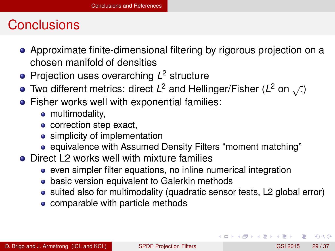- <span id="page-61-0"></span>Approximate finite-dimensional filtering by rigorous projection on a chosen manifold of densities
- Projection uses overarching *L* <sup>2</sup> structure
- Two different metrics: direct  $L^2$  and Hellinger/Fisher ( $L^2$  on  $\sqrt{2}$ )
- **•** Fisher works well with exponential families:
	- multimodality,
	- correction step exact,
	- simplicity of implementation
	- equivalence with Assumed Density Filters "moment matching"
- Direct L2 works well with mixture families
	- even simpler filter equations, no inline numerical integration
	- **basic version equivalent to Galerkin methods**
	- suited also for multimodality (quadratic sensor tests, L2 global error)
	- comparable with particle methods

 $\Omega$ 

 $(0.123 \times 10^{-14} \text{ m}) \times 10^{-14} \text{ m} \times 10^{-14} \text{ m}$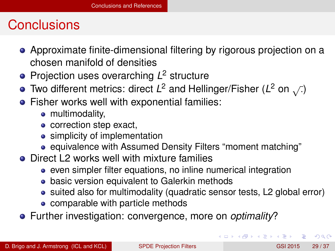- <span id="page-62-0"></span>Approximate finite-dimensional filtering by rigorous projection on a chosen manifold of densities
- Projection uses overarching *L* <sup>2</sup> structure
- Two different metrics: direct  $L^2$  and Hellinger/Fisher ( $L^2$  on  $\sqrt{2}$ )
- **•** Fisher works well with exponential families:
	- multimodality,
	- correction step exact,
	- simplicity of implementation
	- equivalence with Assumed Density Filters "moment matching"
- Direct L2 works well with mixture families
	- even simpler filter equations, no inline numerical integration
	- **basic version equivalent to Galerkin methods**
	- suited also for multimodality (quadratic sensor tests, L2 global error)
	- comparable with particle methods
- Further investigation: convergence, more on *optimality*?

 $\Omega$ 

 $(0.125 \times 10^{-14} \text{ m}) \times 10^{-14} \text{ m}$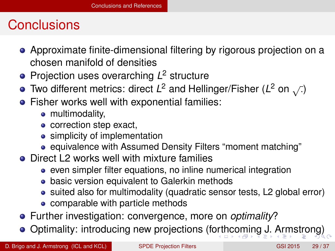- <span id="page-63-0"></span>Approximate finite-dimensional filtering by rigorous projection on a chosen manifold of densities
- Projection uses overarching *L* <sup>2</sup> structure
- Two different metrics: direct  $L^2$  and Hellinger/Fisher ( $L^2$  on  $\sqrt{2}$ )
- **•** Fisher works well with exponential families:
	- multimodality,
	- correction step exact,
	- simplicity of implementation
	- equivalence with Assumed Density Filters "moment matching"
- Direct L2 works well with mixture families
	- even simpler filter equations, no inline numerical integration
	- **basic version equivalent to Galerkin methods**
	- suited also for multimodality (quadratic sensor tests, L2 global error)
	- comparable with particle methods
- Further investigation: convergence, more on *optimality*?
- Optimality: introducing new projections (f[ort](#page-62-0)[hc](#page-64-0)[o](#page-56-0)[m](#page-57-0)[i](#page-63-0)[n](#page-64-0)[g](#page-56-0)[J.](#page-71-0) [A](#page-56-0)[r](#page-57-0)[m](#page-71-0)[st](#page-0-0)[ron](#page-71-0)g)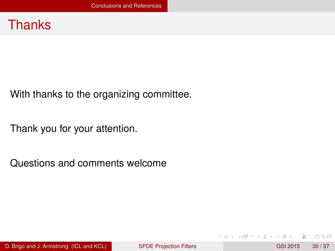#### <span id="page-64-0"></span>**Thanks**

With thanks to the organizing committee.

Thank you for your attention.

Questions and comments welcome

and in

 $\Omega$ 

重す  $\mathcal{A}$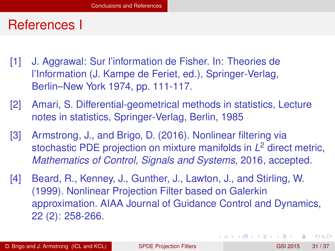#### <span id="page-65-0"></span>References I

- [1] J. Aggrawal: Sur l'information de Fisher. In: Theories de l'Information (J. Kampe de Feriet, ed.), Springer-Verlag, Berlin–New York 1974, pp. 111-117.
- [2] Amari, S. Differential-geometrical methods in statistics, Lecture notes in statistics, Springer-Verlag, Berlin, 1985
- [3] Armstrong, J., and Brigo, D. (2016). Nonlinear filtering via stochastic PDE projection on mixture manifolds in *L* <sup>2</sup> direct metric, *Mathematics of Control, Signals and Systems*, 2016, accepted.
- [4] Beard, R., Kenney, J., Gunther, J., Lawton, J., and Stirling, W. (1999). Nonlinear Projection Filter based on Galerkin approximation. AIAA Journal of Guidance Control and Dynamics, 22 (2): 258-266.

 $\Omega$ 

 $(0.125 \times 10^{-14} \text{ m}) \times 10^{-14} \text{ m}$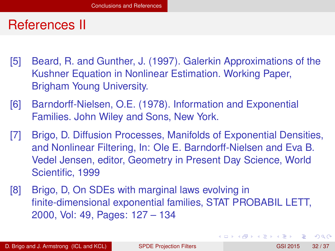#### <span id="page-66-0"></span>References II

- [5] Beard, R. and Gunther, J. (1997). Galerkin Approximations of the Kushner Equation in Nonlinear Estimation. Working Paper, Brigham Young University.
- [6] Barndorff-Nielsen, O.E. (1978). Information and Exponential Families. John Wiley and Sons, New York.
- [7] Brigo, D. Diffusion Processes, Manifolds of Exponential Densities, and Nonlinear Filtering, In: Ole E. Barndorff-Nielsen and Eva B. Vedel Jensen, editor, Geometry in Present Day Science, World Scientific, 1999
- [8] Brigo, D, On SDEs with marginal laws evolving in finite-dimensional exponential families, STAT PROBABIL LETT, 2000, Vol: 49, Pages: 127 – 134

 $\Omega$ 

 $(0.125 \times 10^{-14} \text{ m}) \times 10^{-14} \text{ m}$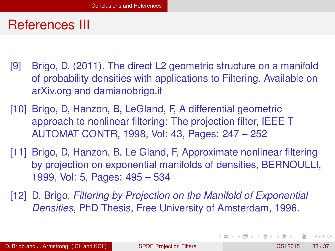#### <span id="page-67-0"></span>References III

- [9] Brigo, D. (2011). The direct L2 geometric structure on a manifold of probability densities with applications to Filtering. Available on arXiv.org and damianobrigo.it
- [10] Brigo, D, Hanzon, B, LeGland, F, A differential geometric approach to nonlinear filtering: The projection filter, IEEE T AUTOMAT CONTR, 1998, Vol: 43, Pages: 247 – 252
- [11] Brigo, D, Hanzon, B, Le Gland, F, Approximate nonlinear filtering by projection on exponential manifolds of densities, BERNOULLI, 1999, Vol: 5, Pages: 495 – 534
- [12] D. Brigo, *Filtering by Projection on the Manifold of Exponential Densities*, PhD Thesis, Free University of Amsterdam, 1996.

D. Brigo and J. Armstrong (ICL and KCL) [SPDE Projection Filters](#page-0-0) GSI 2015 33/37

 $\Omega$ 

イロト イ押 トイラ トイラトー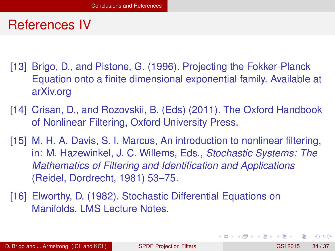#### <span id="page-68-0"></span>References IV

- [13] Brigo, D., and Pistone, G. (1996). Projecting the Fokker-Planck Equation onto a finite dimensional exponential family. Available at arXiv.org
- [14] Crisan, D., and Rozovskii, B. (Eds) (2011). The Oxford Handbook of Nonlinear Filtering, Oxford University Press.
- [15] M. H. A. Davis, S. I. Marcus, An introduction to nonlinear filtering, in: M. Hazewinkel, J. C. Willems, Eds., *Stochastic Systems: The Mathematics of Filtering and Identification and Applications* (Reidel, Dordrecht, 1981) 53–75.
- [16] Elworthy, D. (1982). Stochastic Differential Equations on Manifolds. LMS Lecture Notes.

 $\Omega$ 

 $(0.125 \times 10^{-14} \text{ m}) \times 10^{-14} \text{ m}$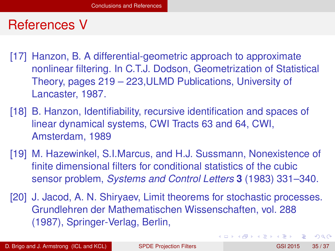#### <span id="page-69-0"></span>References V

- [17] Hanzon, B. A differential-geometric approach to approximate nonlinear filtering. In C.T.J. Dodson, Geometrization of Statistical Theory, pages 219 – 223,ULMD Publications, University of Lancaster, 1987.
- [18] B. Hanzon, Identifiability, recursive identification and spaces of linear dynamical systems, CWI Tracts 63 and 64, CWI, Amsterdam, 1989
- [19] M. Hazewinkel, S.I.Marcus, and H.J. Sussmann, Nonexistence of finite dimensional filters for conditional statistics of the cubic sensor problem, *Systems and Control Letters* **3** (1983) 331–340.
- [20] J. Jacod, A. N. Shiryaev, Limit theorems for stochastic processes. Grundlehren der Mathematischen Wissenschaften, vol. 288 (1987), Springer-Verlag, Berlin,

 $\Omega$ 

4 0 8 4 6 8 4 9 8 4 9 8 1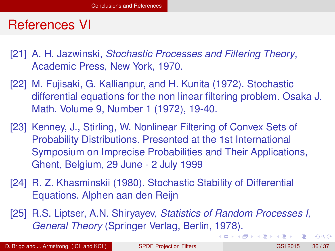### <span id="page-70-0"></span>References VI

- [21] A. H. Jazwinski, *Stochastic Processes and Filtering Theory*, Academic Press, New York, 1970.
- [22] M. Fujisaki, G. Kallianpur, and H. Kunita (1972). Stochastic differential equations for the non linear filtering problem. Osaka J. Math. Volume 9, Number 1 (1972), 19-40.
- [23] Kenney, J., Stirling, W. Nonlinear Filtering of Convex Sets of Probability Distributions. Presented at the 1st International Symposium on Imprecise Probabilities and Their Applications, Ghent, Belgium, 29 June - 2 July 1999
- [24] R. Z. Khasminskii (1980). Stochastic Stability of Differential Equations. Alphen aan den Reijn
- [25] R.S. Liptser, A.N. Shiryayev, *Statistics of Random Processes I, General Theory* (Springer Verlag, Berlin, 1978).

 $\Omega$ 

 $(0,1)$   $(0,1)$   $(0,1)$   $(1,1)$   $(1,1)$   $(1,1)$   $(1,1)$   $(1,1)$   $(1,1)$   $(1,1)$   $(1,1)$   $(1,1)$   $(1,1)$   $(1,1)$   $(1,1)$   $(1,1)$   $(1,1)$   $(1,1)$   $(1,1)$   $(1,1)$   $(1,1)$   $(1,1)$   $(1,1)$   $(1,1)$   $(1,1)$   $(1,1)$   $(1,1)$   $(1,1$